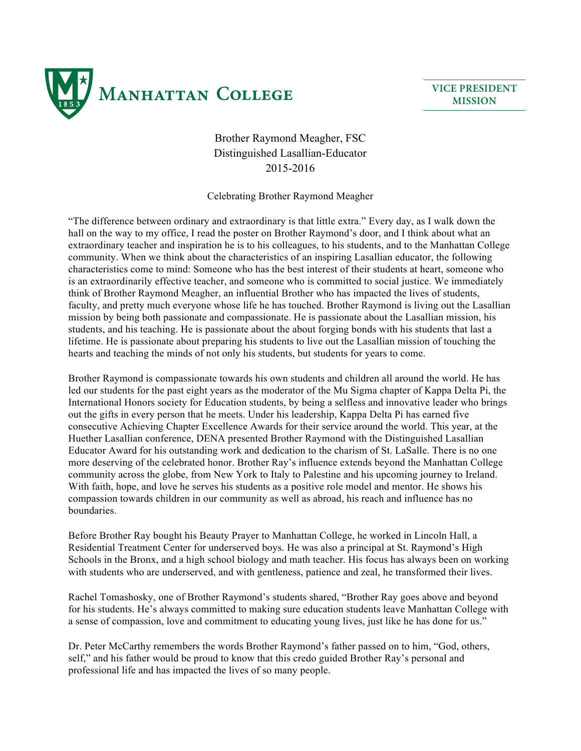

## Brother Raymond Meagher, FSC Distinguished Lasallian-Educator 2015-2016

Celebrating Brother Raymond Meagher

"The difference between ordinary and extraordinary is that little extra." Every day, as I walk down the hall on the way to my office, I read the poster on Brother Raymond's door, and I think about what an extraordinary teacher and inspiration he is to his colleagues, to his students, and to the Manhattan College community. When we think about the characteristics of an inspiring Lasallian educator, the following characteristics come to mind: Someone who has the best interest of their students at heart, someone who is an extraordinarily effective teacher, and someone who is committed to social justice. We immediately think of Brother Raymond Meagher, an influential Brother who has impacted the lives of students, faculty, and pretty much everyone whose life he has touched. Brother Raymond is living out the Lasallian mission by being both passionate and compassionate. He is passionate about the Lasallian mission, his students, and his teaching. He is passionate about the about forging bonds with his students that last a lifetime. He is passionate about preparing his students to live out the Lasallian mission of touching the hearts and teaching the minds of not only his students, but students for years to come.

Brother Raymond is compassionate towards his own students and children all around the world. He has led our students for the past eight years as the moderator of the Mu Sigma chapter of Kappa Delta Pi, the International Honors society for Education students, by being a selfless and innovative leader who brings out the gifts in every person that he meets. Under his leadership, Kappa Delta Pi has earned five consecutive Achieving Chapter Excellence Awards for their service around the world. This year, at the Huether Lasallian conference, DENA presented Brother Raymond with the Distinguished Lasallian Educator Award for his outstanding work and dedication to the charism of St. LaSalle. There is no one more deserving of the celebrated honor. Brother Ray's influence extends beyond the Manhattan College community across the globe, from New York to Italy to Palestine and his upcoming journey to Ireland. With faith, hope, and love he serves his students as a positive role model and mentor. He shows his compassion towards children in our community as well as abroad, his reach and influence has no boundaries.

Before Brother Ray bought his Beauty Prayer to Manhattan College, he worked in Lincoln Hall, a Residential Treatment Center for underserved boys. He was also a principal at St. Raymond's High Schools in the Bronx, and a high school biology and math teacher. His focus has always been on working with students who are underserved, and with gentleness, patience and zeal, he transformed their lives.

Rachel Tomashosky, one of Brother Raymond's students shared, "Brother Ray goes above and beyond for his students. He's always committed to making sure education students leave Manhattan College with a sense of compassion, love and commitment to educating young lives, just like he has done for us."

Dr. Peter McCarthy remembers the words Brother Raymond's father passed on to him, "God, others, self," and his father would be proud to know that this credo guided Brother Ray's personal and professional life and has impacted the lives of so many people.